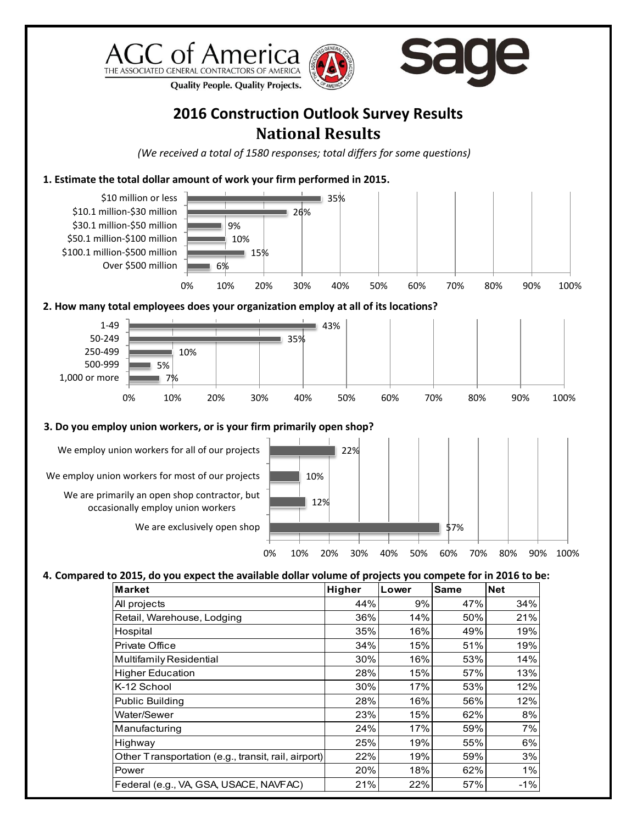





**Quality People. Quality Projects.** 

## **2016 Construction Outlook Survey Results National Results**

*(We received a total of 1580 responses; total differs for some questions)*

**1. Estimate the total dollar amount of work your firm performed in 2015.** 



Highway 25% 19% 55% 6% Other Transportation (e.g., transit, rail, airport)  $\left| \begin{array}{cc} 22\% & 19\% \end{array} \right| \qquad 59\%$  3% Power 20% 18% 62% 1% Federal (e.g., VA, GSA, USACE, NAVFAC)  $\begin{vmatrix} 21\% & 22\% & 57\% \end{vmatrix}$  -1%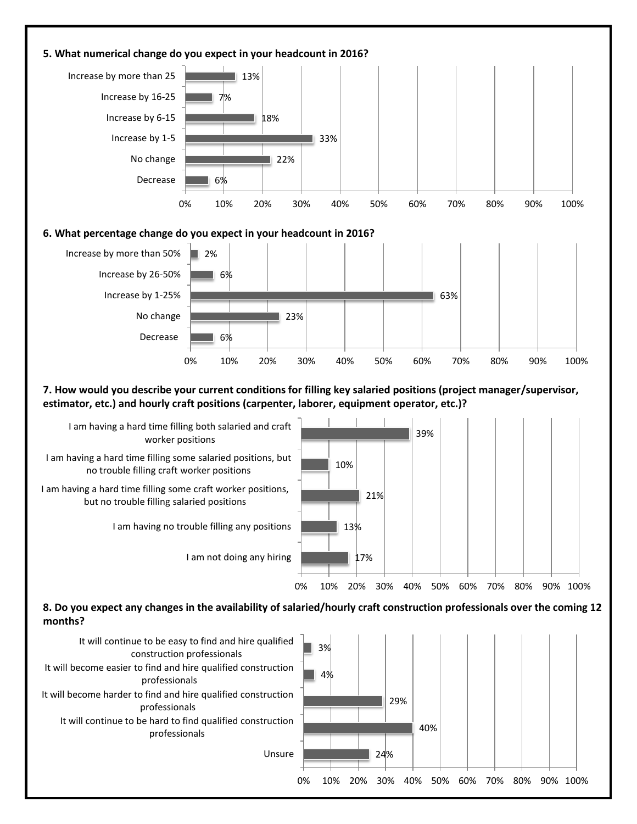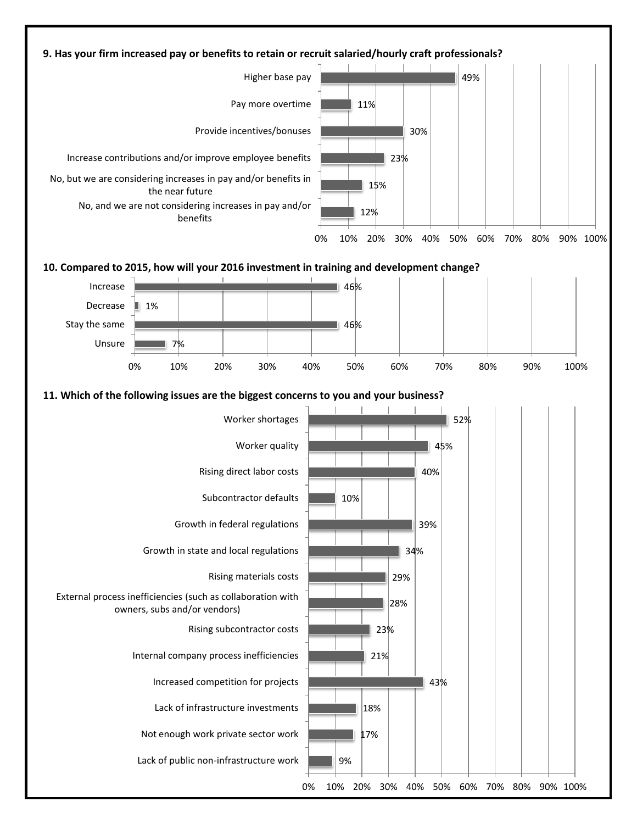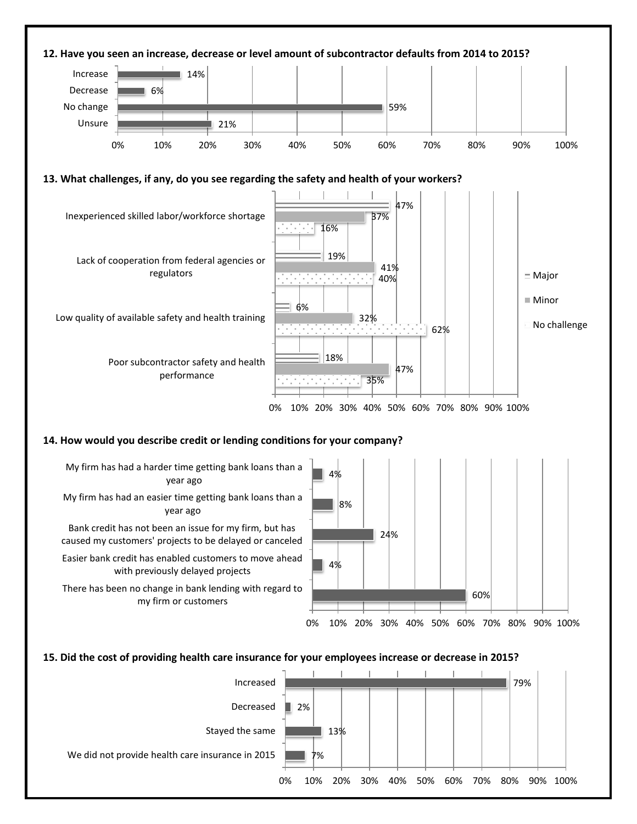

## **15. Did the cost of providing health care insurance for your employees increase or decrease in 2015?**

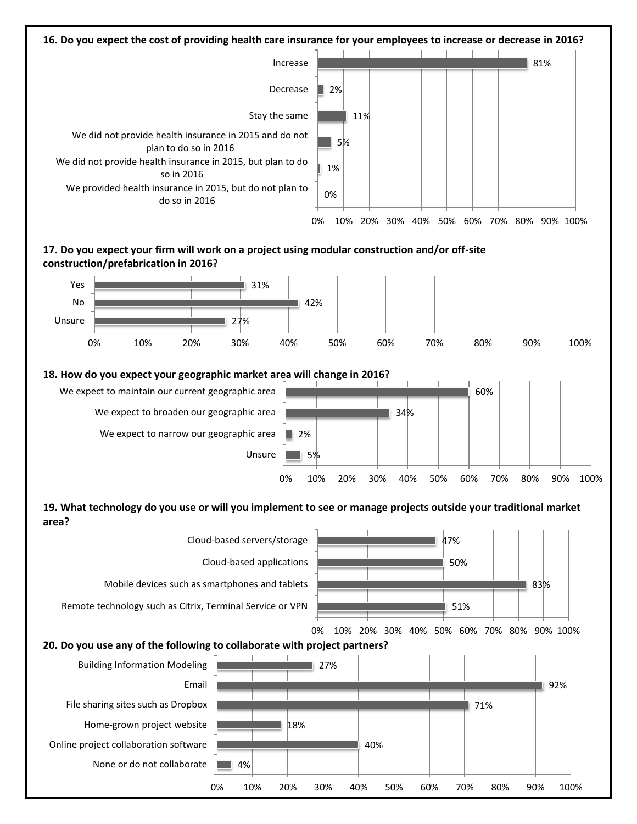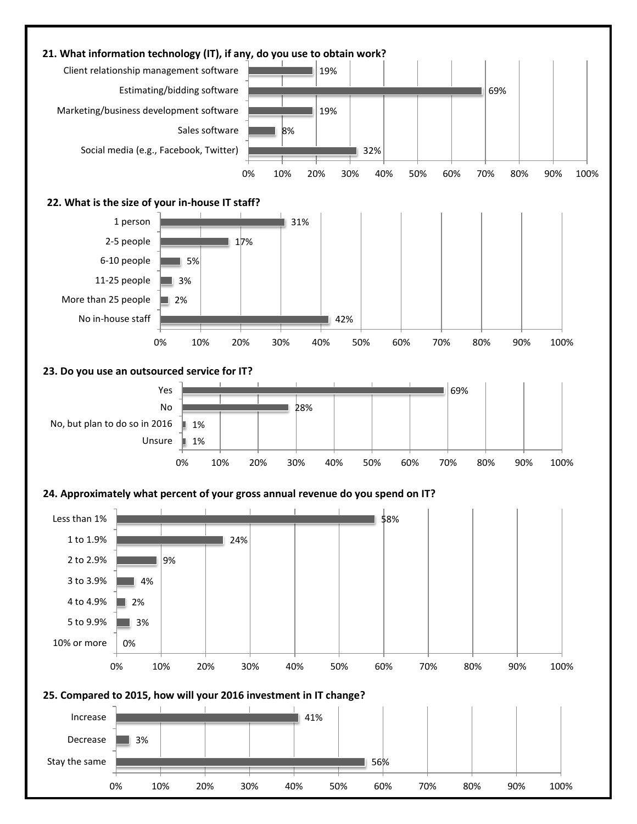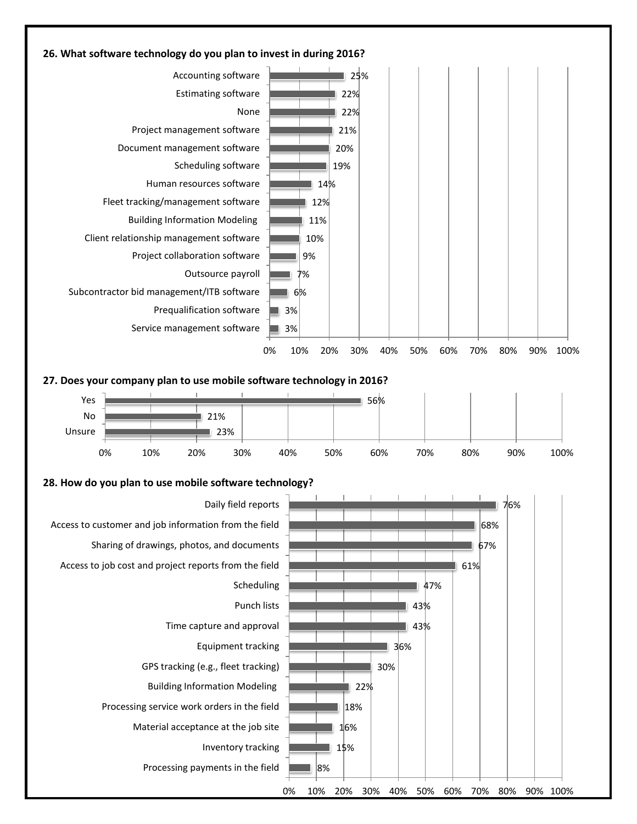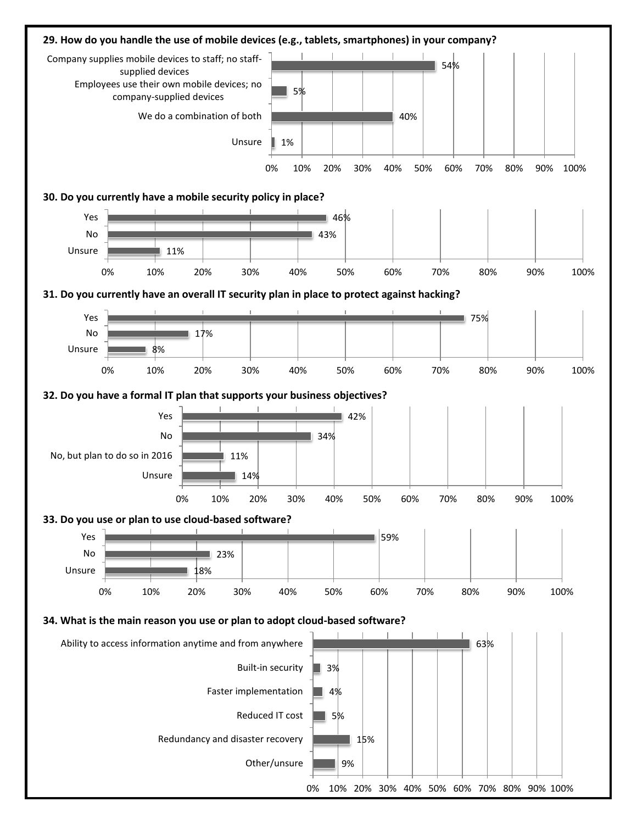